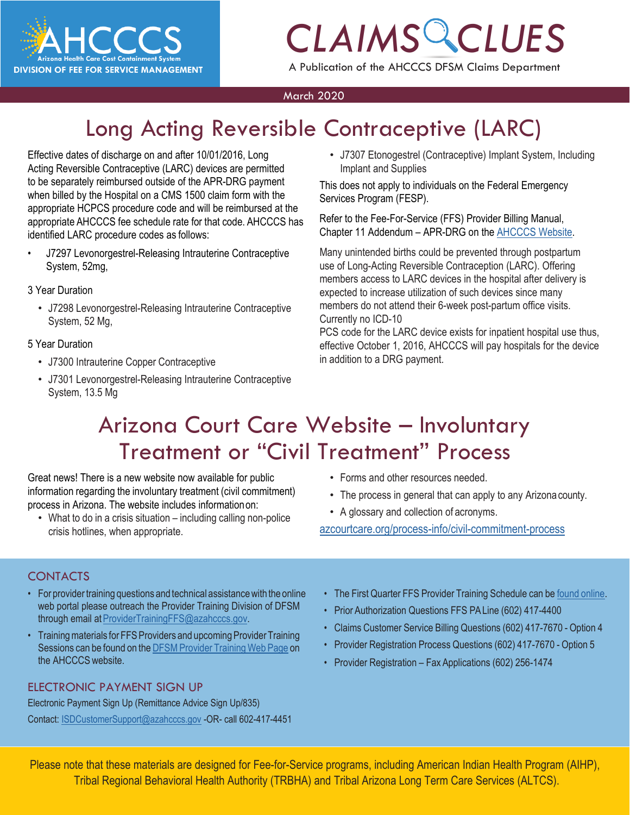

A Publication of the AHCCCS DFSM Claims Department

#### March 2020

### Long Acting Reversible Contraceptive (LARC)

Effective dates of discharge on and after 10/01/2016, Long Acting Reversible Contraceptive (LARC) devices are permitted to be separately reimbursed outside of the APR-DRG payment when billed by the Hospital on a CMS 1500 claim form with the appropriate HCPCS procedure code and will be reimbursed at the appropriate AHCCCS fee schedule rate for that code. AHCCCS has identified LARC procedure codes as follows:

• J7297 Levonorgestrel-Releasing Intrauterine Contraceptive System, 52mg,

#### 3 Year Duration

• J7298 Levonorgestrel-Releasing Intrauterine Contraceptive System, 52 Mg,

#### 5 Year Duration

- J7300 Intrauterine Copper Contraceptive
- J7301 Levonorgestrel-Releasing Intrauterine Contraceptive System, 13.5 Mg

• J7307 Etonogestrel (Contraceptive) Implant System, Including Implant and Supplies

This does not apply to individuals on the Federal Emergency Services Program (FESP).

Refer to the Fee-For-Service (FFS) Provider Billing Manual, Chapter 11 Addendum – APR-DRG on the [AHCCCS Website.](https://www.azahcccs.gov/PlansProviders/Downloads/FFSProviderManual/FFS_Chap11_Addendum.pdf)

Many unintended births could be prevented through postpartum use of Long-Acting Reversible Contraception (LARC). Offering members access to LARC devices in the hospital after delivery is expected to increase utilization of such devices since many members do not attend their 6-week post-partum office visits. Currently no ICD-10

PCS code for the LARC device exists for inpatient hospital use thus, effective October 1, 2016, AHCCCS will pay hospitals for the device in addition to a DRG payment.

### Arizona Court Care Website – Involuntary Treatment or "Civil Treatment" Process

Great news! There is a new website now available for public information regarding the involuntary treatment (civil commitment) process in Arizona. The website includes informationon:

- What to do in a crisis situation including calling non-police crisis hotlines, when appropriate.
- Forms and other resources needed.
- The process in general that can apply to any Arizonacounty.
- A glossary and collection of acronyms.

[azcourtcare.org/process-info/civil-commitment-process](https://azcourtcare.org/process-info/civil-commitment-process)

#### CONTACTS

- For provider training questions and technical assistance with the online web portal please outreach the Provider Training Division of DFSM through email at ProviderTrainingFFS@azahcccs.gov.
- Training materials for FFS Providers and upcoming Provider Training Sessions can be found on the DFSM Provider Training Web Page on the AHCCCS website.

#### ELECTRONIC PAYMENT SIGN UP

Electronic Payment Sign Up (Remittance Advice Sign Up/835) Contact: [ISDCustomerSupport@azahcccs.gov](mailto:ISDCustomerSupport@azahcccs.gov) -OR- call 602-417-4451

- The First Quarter FFS Provider Training Schedule can be found [online.](https://www.azahcccs.gov/Resources/Downloads/DFMSTraining/2020/ProviderTrainingScheduleFirstQuarter2020.pdf)
- Prior Authorization Questions FFS PALine (602) 417-4400
- Claims Customer Service Billing Questions (602) 417-7670 Option 4
- Provider Registration Process Questions (602) 417-7670 Option 5
- Provider Registration Fax Applications (602) 256-1474

Please note that these materials are designed for Fee-for-Service programs, including American Indian Health Program (AIHP), Tribal Regional Behavioral Health Authority (TRBHA) and Tribal Arizona Long Term Care Services (ALTCS).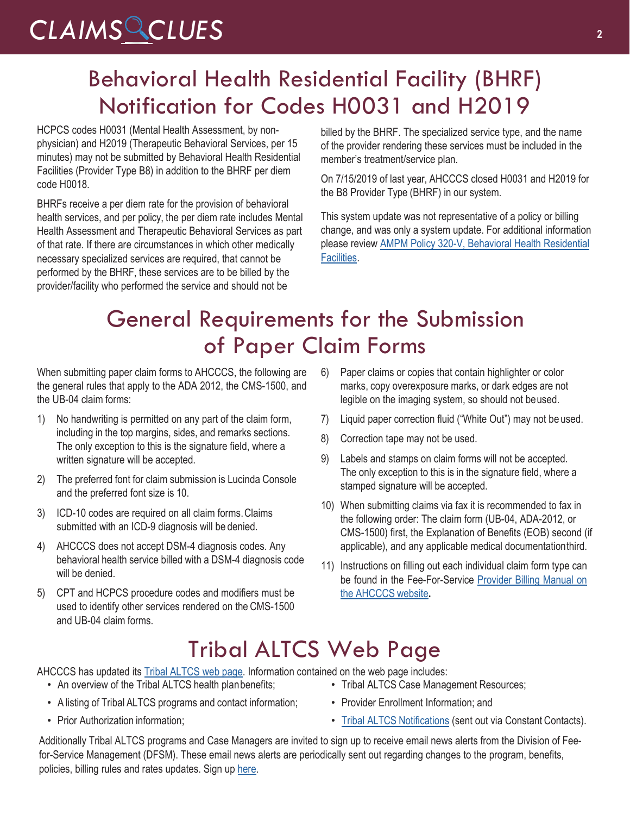### Behavioral Health Residential Facility (BHRF) Notification for Codes H0031 and H2019

HCPCS codes H0031 (Mental Health Assessment, by nonphysician) and H2019 (Therapeutic Behavioral Services, per 15 minutes) may not be submitted by Behavioral Health Residential Facilities (Provider Type B8) in addition to the BHRF per diem code H0018.

BHRFs receive a per diem rate for the provision of behavioral health services, and per policy, the per diem rate includes Mental Health Assessment and Therapeutic Behavioral Services as part of that rate. If there are circumstances in which other medically necessary specialized services are required, that cannot be performed by the BHRF, these services are to be billed by the provider/facility who performed the service and should not be

billed by the BHRF. The specialized service type, and the name of the provider rendering these services must be included in the member's treatment/service plan.

On 7/15/2019 of last year, AHCCCS closed H0031 and H2019 for the B8 Provider Type (BHRF) in our system.

This system update was not representative of a policy or billing change, and was only a system update. For additional information please review AMPM Policy 320-V, Behavioral Health Residential Facilities.

### General Requirements for the Submission of Paper Claim Forms

When submitting paper claim forms to AHCCCS, the following are the general rules that apply to the ADA 2012, the CMS-1500, and the UB-04 claim forms:

- 1) No handwriting is permitted on any part of the claim form, including in the top margins, sides, and remarks sections. The only exception to this is the signature field, where a written signature will be accepted.
- 2) The preferred font for claim submission is Lucinda Console and the preferred font size is 10.
- 3) ICD-10 codes are required on all claim forms.Claims submitted with an ICD-9 diagnosis will be denied.
- 4) AHCCCS does not accept DSM-4 diagnosis codes. Any behavioral health service billed with a DSM-4 diagnosis code will be denied.
- 5) CPT and HCPCS procedure codes and modifiers must be used to identify other services rendered on the CMS-1500 and UB-04 claim forms.
- 6) Paper claims or copies that contain highlighter or color marks, copy overexposure marks, or dark edges are not legible on the imaging system, so should not beused.
- 7) Liquid paper correction fluid ("White Out") may not be used.
- 8) Correction tape may not be used.
- 9) Labels and stamps on claim forms will not be accepted. The only exception to this is in the signature field, where a stamped signature will be accepted.
- 10) When submitting claims via fax it is recommended to fax in the following order: The claim form (UB-04, ADA-2012, or CMS-1500) first, the Explanation of Benefits (EOB) second (if applicable), and any applicable medical documentationthird.
- 11) Instructions on filling out each individual claim form type can be found in the Fee-For-Service [Provider Billing Manual on](https://www.azahcccs.gov/PlansProviders/RatesAndBilling/FFS/providermanual.html) [the AHCCCS](https://www.azahcccs.gov/PlansProviders/RatesAndBilling/FFS/providermanual.html) website**.**

#### Tribal ALTCS Web Page

AHCCCS has updated its **Tribal ALTCS** web page. Information contained on the web page includes:

- An overview of the Tribal ALTCS health planbenefits:
- A listing of Tribal ALTCS programs and contact information;
- Prior Authorization information;
- Tribal ALTCS Case Management Resources;
- Provider Enrollment Information; and
- [Tribal ALTCS Notifications](https://www.azahcccs.gov/PlansProviders/FeeForServiceHealthPlans/ProgramsAndPopulations/tribalaltcsnotifications.html) (sent out via Constant Contacts).

Additionally Tribal ALTCS programs and Case Managers are invited to sign up to receive email news alerts from the Division of Feefor-Service Management (DFSM). These email news alerts are periodically sent out regarding changes to the program, benefits, policies, billing rules and rates updates. Sign up [here.](https://visitor.r20.constantcontact.com/manage/optin?v=001gF-kjPbNwUl4qTFXa25yg7PI-lJiYCg93XrtPtORBVs5LfBVH0-8vbcm12yD-2XXtSsqiYUBOmMmlkrI8ahm_2YiyBfBDlwfmRmEGrovUOSP6DcA-KbmT-Ql0Lmk0PExgqaWuvz6fV2kNwVjevvO11fbEYfxSl5MtPdTd_x0b-d44ezL3scdyI-S4QgYEsLUgwtSDvtSPxE%3D)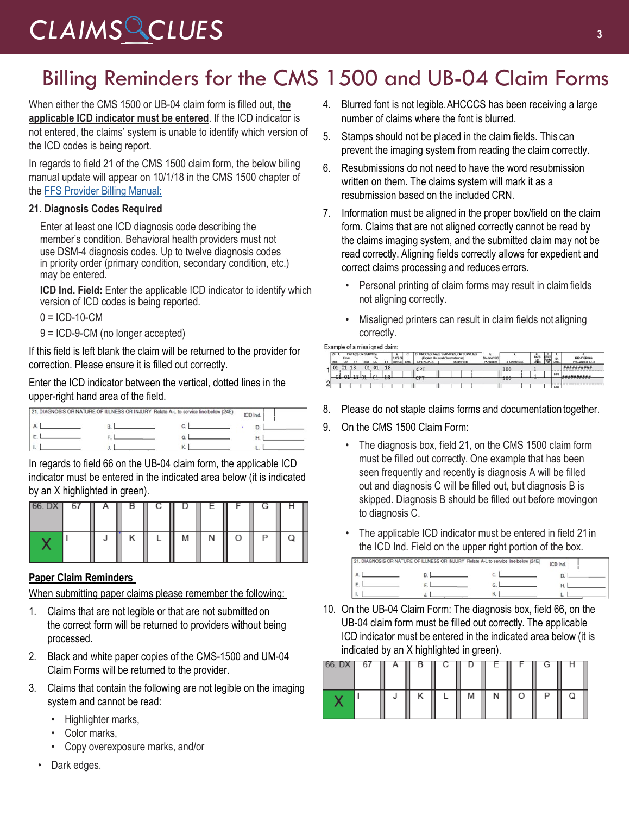### Billing Reminders for the CMS 1500 and UB-04 Claim Forms

When either the CMS 1500 or UB-04 claim form is filled out, t**he applicable ICD indicator must be entered**. If the ICD indicator is not entered, the claims' system is unable to identify which version of the ICD codes is being report.

In regards to field 21 of the CMS 1500 claim form, the below biling manual update will appear on 10/1/18 in the CMS 1500 chapter of the FFS Provider Billing Manual:

#### **21. Diagnosis Codes Required**

Enter at least one ICD diagnosis code describing the member's condition. Behavioral health providers must not use DSM-4 diagnosis codes. Up to twelve diagnosis codes in priority order (primary condition, secondary condition, etc.) may be entered.

**ICD Ind. Field:** Enter the applicable ICD indicator to identify which version of ICD codes is being reported.

 $0 = ICD-10-CM$ 

9 = ICD-9-CM (no longer accepted)

If this field is left blank the claim will be returned to the provider for correction. Please ensure it is filled out correctly.

Enter the ICD indicator between the vertical, dotted lines in the upper-right hand area of the field.

|  | 21. DIAGNOSIS OR NATURE OF ILLNESS OR INJURY Relate A-L to service line below (24E) | ICD Ind. |  |
|--|-------------------------------------------------------------------------------------|----------|--|
|  |                                                                                     |          |  |
|  |                                                                                     |          |  |
|  |                                                                                     |          |  |

In regards to field 66 on the UB-04 claim form, the applicable ICD indicator must be entered in the indicated area below (it is indicated by an X highlighted in green).

| 66. DX | $-67$ | Α | D | ◡ | ᄂ | G | п |
|--------|-------|---|---|---|---|---|---|
|        |       |   |   | M | Ν |   |   |

#### **Paper Claim Reminders**

When submitting paper claims please remember the following:

- 1. Claims that are not legible or that are not submitted on the correct form will be returned to providers without being processed.
- 2. Black and white paper copies of the CMS-1500 and UM-04 Claim Forms will be returned to the provider.
- 3. Claims that contain the following are not legible on the imaging system and cannot be read:
	- Highlighter marks,
	- Color marks,
	- Copy overexposure marks, and/or
	- Dark edges.
- 4. Blurred font is not legible.AHCCCS has been receiving a large number of claims where the font is blurred.
- 5. Stamps should not be placed in the claim fields. This can prevent the imaging system from reading the claim correctly.
- 6. Resubmissions do not need to have the word resubmission written on them. The claims system will mark it as a resubmission based on the included CRN.
- 7. Information must be aligned in the proper box/field on the claim form. Claims that are not aligned correctly cannot be read by the claims imaging system, and the submitted claim may not be read correctly. Aligning fields correctly allows for expedient and correct claims processing and reduces errors.
	- Personal printing of claim forms may result in claimfields not aligning correctly.
	- Misaligned printers can result in claim fields not aligning correctly.

| Example of a misaligned clai |  |  |
|------------------------------|--|--|

|             | 24. A<br>MA | From | Y٦           | DATE(S) OF SERVICE<br>MM | To<br><b>DD</b> | ٣Y   | SERACE. | <b>EMG</b> | CPT/HCPCS | <b>AICES, OR SUPPLIES</b><br><b>MODIFIER</b> | <b>DIAGNOSE</b><br><b>POINTER</b> | <b>S CHARGE</b> | <b>Sogo</b> | w,<br><b>Transity</b> |     | <b>RENDERING</b><br><b>PROVIDER ID. 8</b> |
|-------------|-------------|------|--------------|--------------------------|-----------------|------|---------|------------|-----------|----------------------------------------------|-----------------------------------|-----------------|-------------|-----------------------|-----|-------------------------------------------|
|             | $1 ^{01}$   |      | 18           | 01                       | 01              | 18   |         |            |           |                                              |                                   | 100             |             |                       |     |                                           |
|             | ₩.          |      | <b>TO AI</b> |                          |                 | $+8$ |         |            |           |                                              |                                   | 100             |             |                       |     |                                           |
| $\sim$<br>۷ |             |      |              |                          |                 |      |         |            |           |                                              |                                   |                 |             |                       | NP! |                                           |

- 8. Please do not staple claims forms and documentation together.
- 9. On the CMS 1500 Claim Form:
	- The diagnosis box, field 21, on the CMS 1500 claim form must be filled out correctly. One example that has been seen frequently and recently is diagnosis A will be filled out and diagnosis C will be filled out, but diagnosis B is skipped. Diagnosis B should be filled out before movingon to diagnosis C.
	- The applicable ICD indicator must be entered in field 21in the ICD Ind. Field on the upper right portion of the box.

|  | 21. DIAGNOSIS OR NATURE OF ILLNESS OR INJURY Relate A-L to service line below (24E) | ICD Ind. |
|--|-------------------------------------------------------------------------------------|----------|
|  |                                                                                     |          |
|  |                                                                                     |          |
|  |                                                                                     |          |

10. On the UB-04 Claim Form: The diagnosis box, field 66, on the UB-04 claim form must be filled out correctly. The applicable ICD indicator must be entered in the indicated area below (it is indicated by an X highlighted in green).

| ◡ | U |  |     | c. |  |  |
|---|---|--|-----|----|--|--|
|   |   |  | ΙVΙ |    |  |  |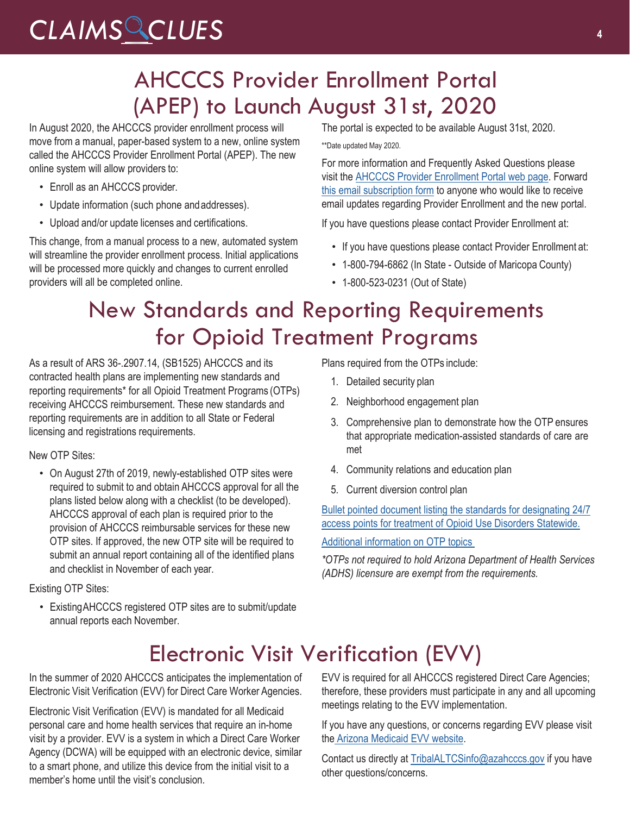#### AHCCCS Provider Enrollment Portal (APEP) to Launch August 31st, 2020

In August 2020, the AHCCCS provider enrollment process will move from a manual, paper-based system to a new, online system called the AHCCCS Provider Enrollment Portal (APEP). The new online system will allow providers to:

- Enroll as an AHCCCS provider.
- Update information (such phone andaddresses).
- Upload and/or update licenses and certifications.

This change, from a manual process to a new, automated system will streamline the provider enrollment process. Initial applications will be processed more quickly and changes to current enrolled providers will all be completed online.

The portal is expected to be available August 31st, 2020.

\*\*Date updated May 2020.

For more information and Frequently Asked Questions please visit the [AHCCCS Provider Enrollment Portal web page.](https://www.azahcccs.gov/PlansProviders/NewProviders/APEP.html) Forward [this email subscription form](https://visitor.r20.constantcontact.com/manage/optin?v=001gF-kjPbNwUnRFFFq915Hq0WaTObiteBdiPD_exzc-3iA39q3tDlq4vxb4ZqhZVAL3tqPSPiIoSBS4mUOeQFk7lGeXc_xo2F3UJRa8hvzs0wN-y6AVu_XoCBZf_9AZNbdgjy41DHAIXBLBqjMd5rPsCukG5_uVcEvK8IQSVCBC1Ta6fhiWKDdhFcvMY5-PE-TPDmvIw2ULqYVFfk1RGPmKN6WrANGFSnw) to anyone who would like to receive email updates regarding Provider Enrollment and the new portal.

If you have questions please contact Provider Enrollment at:

- If you have questions please contact Provider Enrollment at:
- 1-800-794-6862 (In State Outside of Maricopa County)
- 1-800-523-0231 (Out of State)

#### New Standards and Reporting Requirements for Opioid Treatment Programs

As a result of ARS 36-.2907.14, (SB1525) AHCCCS and its contracted health plans are implementing new standards and reporting requirements\* for all Opioid Treatment Programs (OTPs) receiving AHCCCS reimbursement. These new standards and reporting requirements are in addition to all State or Federal licensing and registrations requirements.

New OTP Sites:

• On August 27th of 2019, newly-established OTP sites were required to submit to and obtain AHCCCS approval for all the plans listed below along with a checklist (to be developed). AHCCCS approval of each plan is required prior to the provision of AHCCCS reimbursable services for these new OTP sites. If approved, the new OTP site will be required to submit an annual report containing all of the identified plans and checklist in November of each year.

Existing OTP Sites:

• ExistingAHCCCS registered OTP sites are to submit/update annual reports each November.

Plans required from the OTPs include:

- 1. Detailed security plan
- 2. Neighborhood engagement plan
- 3. Comprehensive plan to demonstrate how the OTP ensures that appropriate medication-assisted standards of care are met
- 4. Community relations and education plan
- 5. Current diversion control plan

[Bullet pointed document listing the standards for designating 24/7](https://www.azahcccs.gov/Members/Downloads/BehavioralHealthServices/24_7COE.pdf) [access points for treatment of Opioid Use Disorders Statewide.](https://www.azahcccs.gov/Members/Downloads/BehavioralHealthServices/24_7COE.pdf)

[Additional information on OTP topics](https://www.azahcccs.gov/Members/BehavioralHealthServices/OpioidUseDisorderAndTreatment/OTP_Requirements.html) 

*\*OTPs not required to hold Arizona Department of Health Services (ADHS) licensure are exempt from the requirements.*

#### Electronic Visit Verification (EVV)

In the summer of 2020 AHCCCS anticipates the implementation of Electronic Visit Verification (EVV) for Direct Care Worker Agencies.

Electronic Visit Verification (EVV) is mandated for all Medicaid personal care and home health services that require an in-home visit by a provider. EVV is a system in which a Direct Care Worker Agency (DCWA) will be equipped with an electronic device, similar to a smart phone, and utilize this device from the initial visit to a member's home until the visit's conclusion.

EVV is required for all AHCCCS registered Direct Care Agencies; therefore, these providers must participate in any and all upcoming meetings relating to the EVV implementation.

If you have any questions, or concerns regarding EVV please visit the [Arizona Medicaid EVV website.](https://www.azahcccs.gov/AHCCCS/Initiatives/EVV/)

Contact us directly at [TribalALTCSinfo@azahcccs.gov](mailto:TribalALTCSinfo@azahcccs.gov) if you have other questions/concerns.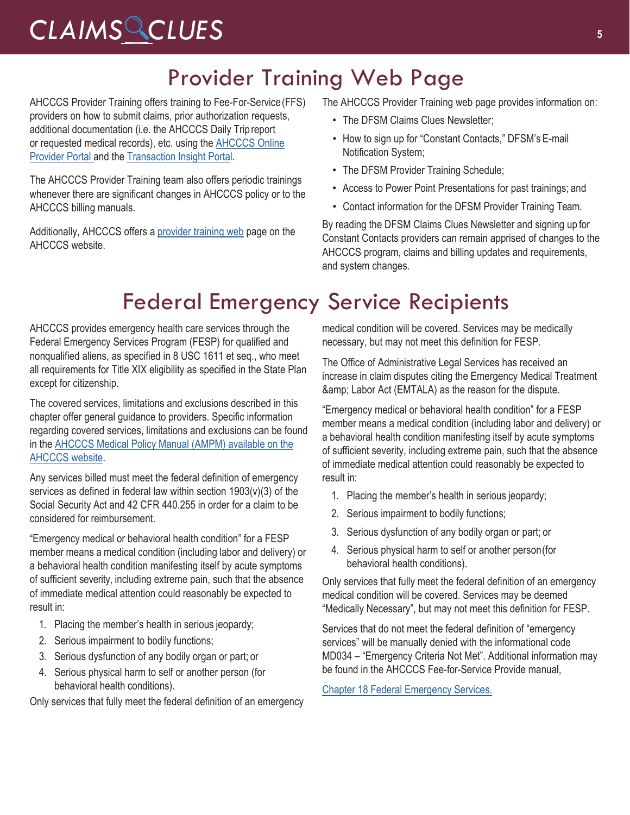### Provider Training Web Page

AHCCCS Provider Training offers training to Fee-For-Service(FFS) providers on how to submit claims, prior authorization requests, additional documentation (i.e. the AHCCCS Daily Tripreport or requested medical records), etc. using the [AHCCCS Online](https://azweb.statemedicaid.us/Account/Login.aspx?ReturnUrl=%2f) [Provider Portal a](https://azweb.statemedicaid.us/Account/Login.aspx?ReturnUrl=%2f)nd th[e Transaction Insight Portal.](https://tiwebprd.statemedicaid.us/AHCCCS/default.aspx?ReturnUrl=%2fAHCCCS%2f)

The AHCCCS Provider Training team also offers periodic trainings whenever there are significant changes in AHCCCS policy or to the AHCCCS billing manuals.

Additionally, AHCCCS offers a provider training web page on the AHCCCS website.

The AHCCCS Provider Training web page provides information on:

- The DFSM Claims Clues Newsletter:
- How to sign up for "Constant Contacts," DFSM's E-mail Notification System;
- The DFSM Provider Training Schedule;
- Access to Power Point Presentations for past trainings; and
- Contact information for the DFSM Provider Training Team.

By reading the DFSM Claims Clues Newsletter and signing up for Constant Contacts providers can remain apprised of changes to the AHCCCS program, claims and billing updates and requirements, and system changes.

### Federal Emergency Service Recipients

AHCCCS provides emergency health care services through the Federal Emergency Services Program (FESP) for qualified and nonqualified aliens, as specified in 8 USC 1611 et seq., who meet all requirements for Title XIX eligibility as specified in the State Plan except for citizenship.

The covered services, limitations and exclusions described in this chapter offer general guidance to providers. Specific information regarding covered services, limitations and exclusions can be found in the [AHCCCS Medical Policy Manual \(AMPM\) available on the](https://www.azahcccs.gov/shared/MedicalPolicyManual) [AHCCCS website.](https://www.azahcccs.gov/shared/MedicalPolicyManual)

Any services billed must meet the federal definition of emergency services as defined in federal law within section 1903(v)(3) of the Social Security Act and 42 CFR 440.255 in order for a claim to be considered for reimbursement.

"Emergency medical or behavioral health condition" for a FESP member means a medical condition (including labor and delivery) or a behavioral health condition manifesting itself by acute symptoms of sufficient severity, including extreme pain, such that the absence of immediate medical attention could reasonably be expected to result in:

- 1. Placing the member's health in serious jeopardy;
- 2. Serious impairment to bodily functions;
- 3. Serious dysfunction of any bodily organ or part; or
- 4. Serious physical harm to self or another person (for behavioral health conditions).

Only services that fully meet the federal definition of an emergency

medical condition will be covered. Services may be medically necessary, but may not meet this definition for FESP.

The Office of Administrative Legal Services has received an increase in claim disputes citing the Emergency Medical Treatment & amp; Labor Act (EMTALA) as the reason for the dispute.

"Emergency medical or behavioral health condition" for a FESP member means a medical condition (including labor and delivery) or a behavioral health condition manifesting itself by acute symptoms of sufficient severity, including extreme pain, such that the absence of immediate medical attention could reasonably be expected to result in:

- 1. Placing the member's health in serious jeopardy;
- 2. Serious impairment to bodily functions;
- 3. Serious dysfunction of any bodily organ or part; or
- 4. Serious physical harm to self or another person(for behavioral health conditions).

Only services that fully meet the federal definition of an emergency medical condition will be covered. Services may be deemed "Medically Necessary", but may not meet this definition for FESP.

Services that do not meet the federal definition of "emergency services" will be manually denied with the informational code MD034 – "Emergency Criteria Not Met". Additional information may be found in the AHCCCS Fee-for-Service Provide manual,

[Chapter 18 Federal Emergency Services.](https://www.azahcccs.gov/PlansProviders/Downloads/FFSProviderManual/FFS_Chap18EmergencyServicesProgram.pdf)